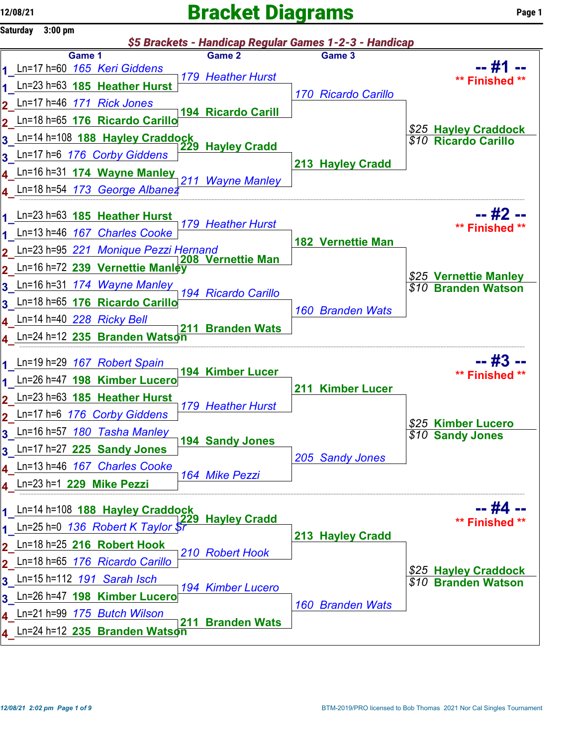## $12/08/21$  Page 1



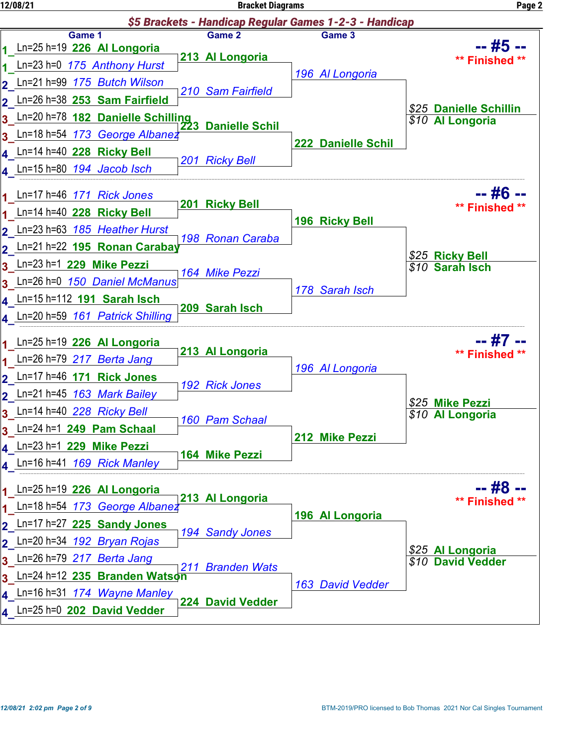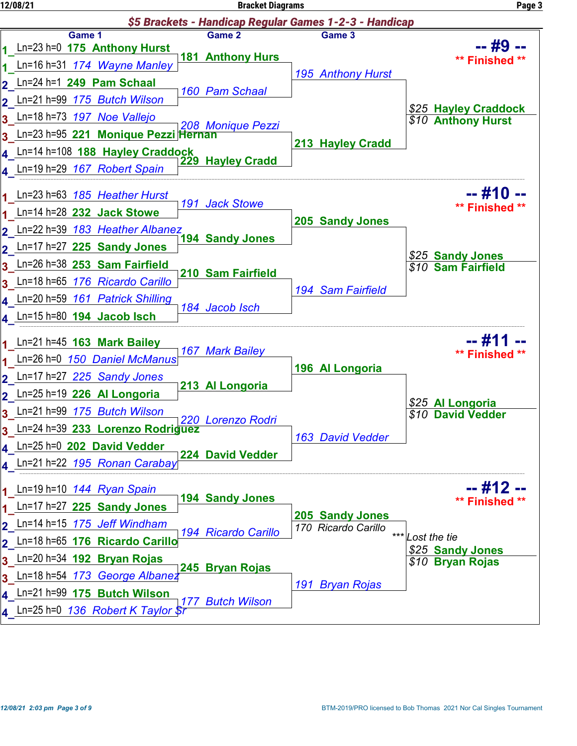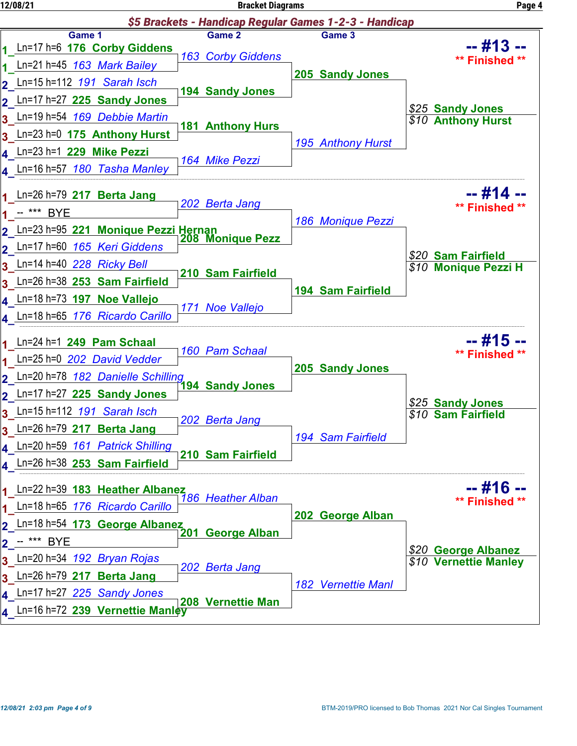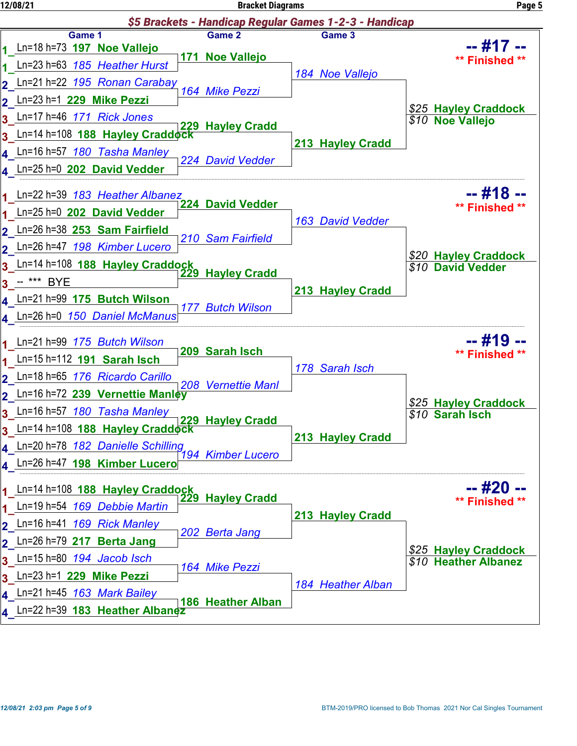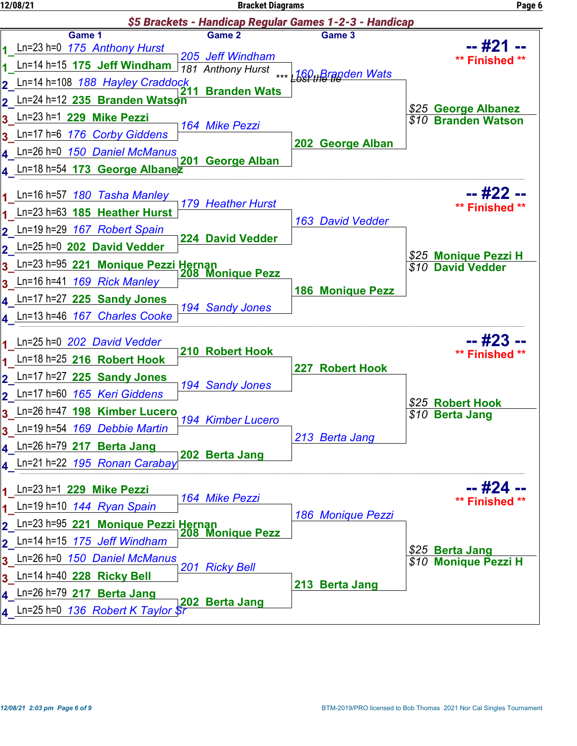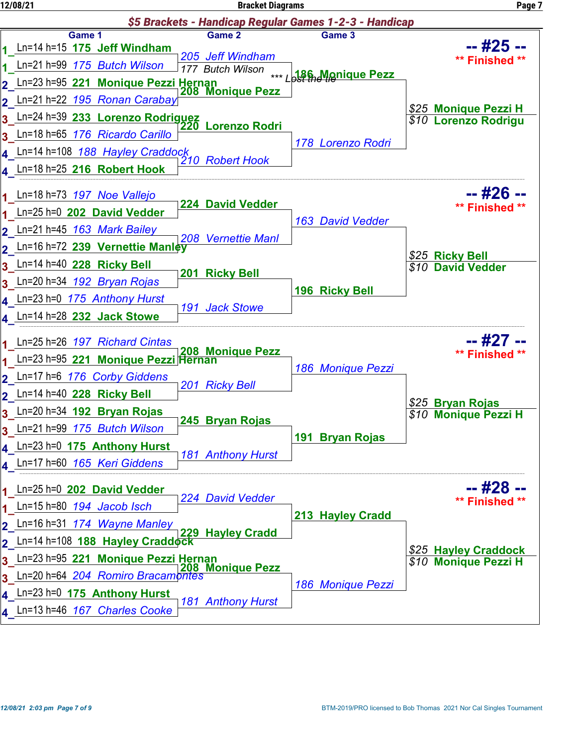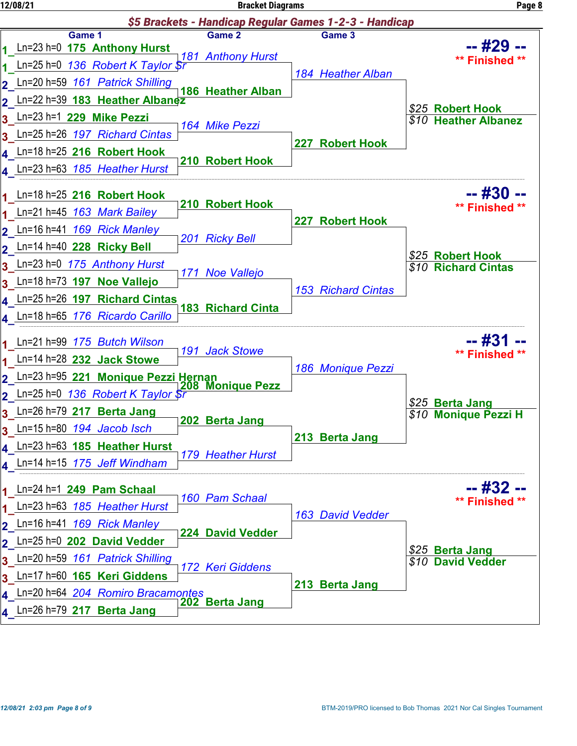